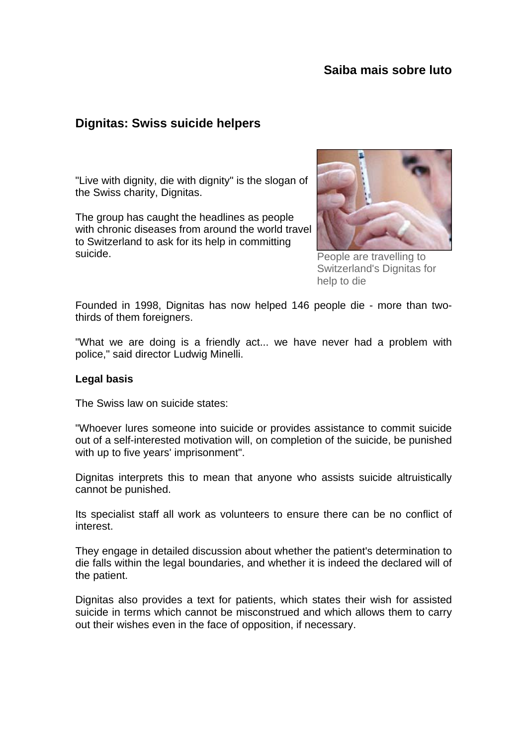# **Saiba mais sobre luto**

# **Dignitas: Swiss suicide helpers**

"Live with dignity, die with dignity" is the slogan of the Swiss charity, Dignitas.

The group has caught the headlines as people with chronic diseases from around the world travel to Switzerland to ask for its help in committing suicide.



People are travelling to Switzerland's Dignitas for help to die

Founded in 1998, Dignitas has now helped 146 people die - more than twothirds of them foreigners.

"What we are doing is a friendly act... we have never had a problem with police," said director Ludwig Minelli.

#### **Legal basis**

The Swiss law on suicide states:

"Whoever lures someone into suicide or provides assistance to commit suicide out of a self-interested motivation will, on completion of the suicide, be punished with up to five years' imprisonment".

Dignitas interprets this to mean that anyone who assists suicide altruistically cannot be punished.

Its specialist staff all work as volunteers to ensure there can be no conflict of interest.

They engage in detailed discussion about whether the patient's determination to die falls within the legal boundaries, and whether it is indeed the declared will of the patient.

Dignitas also provides a text for patients, which states their wish for assisted suicide in terms which cannot be misconstrued and which allows them to carry out their wishes even in the face of opposition, if necessary.